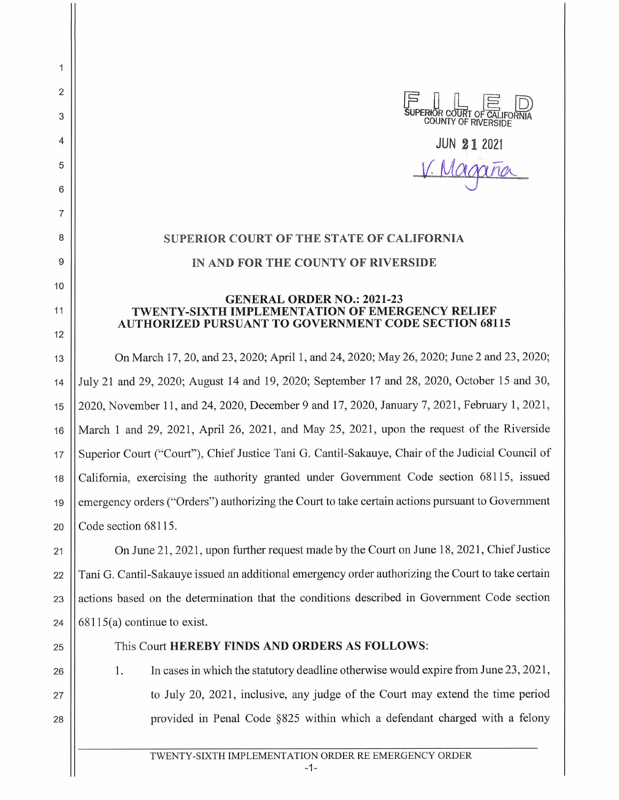**PERIOR COURT COUNTY OF RIVERSIDE** 

**JUN 21 2021**  *Magano* 

## **SUPERIOR COURT OF THE STATE OF CALIFORNIA IN AND FOR THE COUNTY OF RIVERSIDE**

## **GENERAL ORDER NO.: 2021-23 TWENTY-SIXTH IMPLEMENTATION OF EMERGENCY RELIEF AUTHORIZED PURSUANT TO GOVERNMENT CODE SECTION 68115**

13 On March 17, 20, and 23, 2020; April 1, and 24, 2020; May 26, 2020; June 2 and 23, 2020; 14 July 21 and 29, 2020; August 14 and 19, 2020; September 17 and 28, 2020, October 15 and 30, 15 2020, November 11, and 24, 2020, December 9 and 17, 2020, January 7, 2021, February 1, 2021 , 16 March 1 and 29, 2021, April 26, 2021, and May 25, 2021, upon the request of the Riverside 17 Superior Court ("Court"), Chief Justice Tani G. Cantil-Sakauye, Chair of the Judicial Council of 18 California, exercising the authority granted under Government Code section 68115, issued 19 Semergency orders ("Orders") authorizing the Court to take certain actions pursuant to Government 20  $\vert$  Code section 68115.

21 | On June 21, 2021, upon further request made by the Court on June 18, 2021, Chief Justice 22 Tani G. Cantil-Sakauye issued an additional emergency order authorizing the Court to take certain  $23$  | actions based on the determination that the conditions described in Government Code section 24  $\vert$  68115(a) continue to exist.

25 || This Court **HEREBY FINDS AND ORDERS AS FOLLOWS:** 

2

 $\mathbf{1}$ 

3

4

5

6

7

8

9

10

11

12

- 26 27
- 28

1. In cases in which the statutory deadline otherwise would expire from June 23, 2021 , to July 20, 2021 , inclusive, any judge of the Court may extend the time period provided in Penal Code §825 within which a defendant charged with a felony